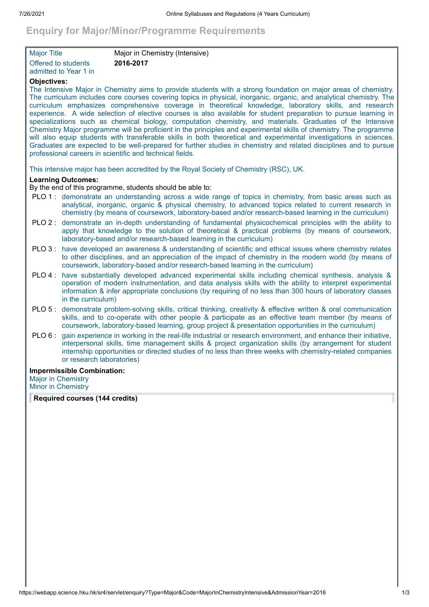# **Enquiry for Major/Minor/Programme Requirements**

| Major Title                | Major in Chemistry (Intensive) |
|----------------------------|--------------------------------|
| <b>Offered to students</b> | 2016-2017                      |
| l admitted to Year 1 in.   |                                |

# **Objectives:**

The Intensive Major in Chemistry aims to provide students with a strong foundation on major areas of chemistry. The curriculum includes core courses covering topics in physical, inorganic, organic, and analytical chemistry. The curriculum emphasizes comprehensive coverage in theoretical knowledge, laboratory skills, and research experience. A wide selection of elective courses is also available for student preparation to pursue learning in specializations such as chemical biology, computation chemistry, and materials. Graduates of the Intensive Chemistry Major programme will be proficient in the principles and experimental skills of chemistry. The programme will also equip students with transferable skills in both theoretical and experimental investigations in sciences. Graduates are expected to be well-prepared for further studies in chemistry and related disciplines and to pursue professional careers in scientific and technical fields.

This intensive major has been accredited by the Royal Society of Chemistry (RSC), UK.

## **Learning Outcomes:**

By the end of this programme, students should be able to:

- PLO 1 : demonstrate an understanding across a wide range of topics in chemistry, from basic areas such as analytical, inorganic, organic & physical chemistry, to advanced topics related to current research in chemistry (by means of coursework, laboratory-based and/or research-based learning in the curriculum)
- PLO 2 : demonstrate an in-depth understanding of fundamental physicochemical principles with the ability to apply that knowledge to the solution of theoretical & practical problems (by means of coursework, laboratory-based and/or research-based learning in the curriculum)
- PLO 3 : have developed an awareness & understanding of scientific and ethical issues where chemistry relates to other disciplines, and an appreciation of the impact of chemistry in the modern world (by means of coursework, laboratory-based and/or research-based learning in the curriculum)
- PLO 4 : have substantially developed advanced experimental skills including chemical synthesis, analysis & operation of modern instrumentation, and data analysis skills with the ability to interpret experimental information & infer appropriate conclusions (by requiring of no less than 300 hours of laboratory classes in the curriculum)
- PLO 5 : demonstrate problem-solving skills, critical thinking, creativity & effective written & oral communication skills, and to co-operate with other people & participate as an effective team member (by means of coursework, laboratory-based learning, group project & presentation opportunities in the curriculum)
- PLO 6 : gain experience in working in the real-life industrial or research environment, and enhance their initiative, interpersonal skills, time management skills & project organization skills (by arrangement for student internship opportunities or directed studies of no less than three weeks with chemistry-related companies or research laboratories)

#### **Impermissible Combination:**

Major in Chemistry Minor in Chemistry

**Required courses (144 credits)**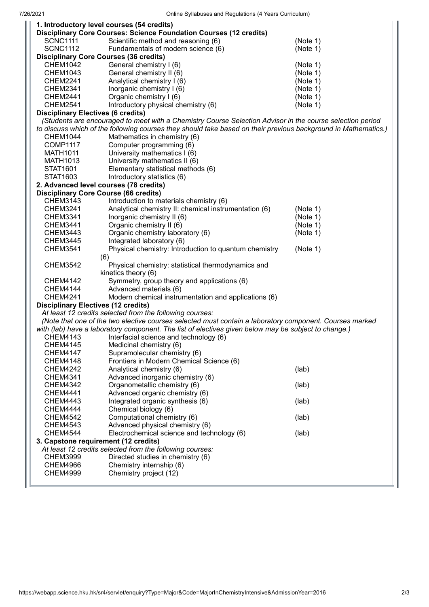|                                                                                                                | 1. Introductory level courses (54 credits)                         |          |  |
|----------------------------------------------------------------------------------------------------------------|--------------------------------------------------------------------|----------|--|
|                                                                                                                | Disciplinary Core Courses: Science Foundation Courses (12 credits) |          |  |
| <b>SCNC1111</b>                                                                                                | Scientific method and reasoning (6)                                | (Note 1) |  |
| <b>SCNC1112</b>                                                                                                | Fundamentals of modern science (6)                                 | (Note 1) |  |
|                                                                                                                | <b>Disciplinary Core Courses (36 credits)</b>                      |          |  |
| <b>CHEM1042</b>                                                                                                | General chemistry I (6)                                            | (Note 1) |  |
| <b>CHEM1043</b>                                                                                                | General chemistry II (6)                                           | (Note 1) |  |
| <b>CHEM2241</b>                                                                                                | Analytical chemistry I (6)                                         | (Note 1) |  |
| <b>CHEM2341</b>                                                                                                | Inorganic chemistry I (6)                                          | (Note 1) |  |
| <b>CHEM2441</b>                                                                                                | Organic chemistry I (6)                                            | (Note 1) |  |
| <b>CHEM2541</b>                                                                                                | Introductory physical chemistry (6)                                | (Note 1) |  |
| <b>Disciplinary Electives (6 credits)</b>                                                                      |                                                                    |          |  |
| (Students are encouraged to meet with a Chemistry Course Selection Advisor in the course selection period      |                                                                    |          |  |
| to discuss which of the following courses they should take based on their previous background in Mathematics.) |                                                                    |          |  |
| <b>CHEM1044</b>                                                                                                | Mathematics in chemistry (6)                                       |          |  |
| <b>COMP1117</b>                                                                                                | Computer programming (6)                                           |          |  |
| <b>MATH1011</b>                                                                                                | University mathematics I (6)                                       |          |  |
| MATH1013                                                                                                       | University mathematics II (6)                                      |          |  |
| STAT1601                                                                                                       | Elementary statistical methods (6)                                 |          |  |
| STAT1603                                                                                                       | Introductory statistics (6)                                        |          |  |
|                                                                                                                | 2. Advanced level courses (78 credits)                             |          |  |
|                                                                                                                | <b>Disciplinary Core Course (66 credits)</b>                       |          |  |
| CHEM3143                                                                                                       | Introduction to materials chemistry (6)                            |          |  |
| <b>CHEM3241</b>                                                                                                | Analytical chemistry II: chemical instrumentation (6)              | (Note 1) |  |
| <b>CHEM3341</b>                                                                                                | Inorganic chemistry II (6)                                         | (Note 1) |  |
| <b>CHEM3441</b>                                                                                                | Organic chemistry II (6)                                           | (Note 1) |  |
| <b>CHEM3443</b>                                                                                                | Organic chemistry laboratory (6)                                   | (Note 1) |  |
|                                                                                                                |                                                                    |          |  |
| <b>CHEM3445</b>                                                                                                | Integrated laboratory (6)                                          |          |  |
| <b>CHEM3541</b>                                                                                                | Physical chemistry: Introduction to quantum chemistry              | (Note 1) |  |
|                                                                                                                | (6)                                                                |          |  |
| <b>CHEM3542</b>                                                                                                | Physical chemistry: statistical thermodynamics and                 |          |  |
|                                                                                                                | kinetics theory (6)                                                |          |  |
| <b>CHEM4142</b>                                                                                                | Symmetry, group theory and applications (6)                        |          |  |
| <b>CHEM4144</b>                                                                                                | Advanced materials (6)                                             |          |  |
| Modern chemical instrumentation and applications (6)<br><b>CHEM4241</b>                                        |                                                                    |          |  |
| <b>Disciplinary Electives (12 credits)</b>                                                                     |                                                                    |          |  |
| At least 12 credits selected from the following courses:                                                       |                                                                    |          |  |
| (Note that one of the two elective courses selected must contain a laboratory component. Courses marked        |                                                                    |          |  |
| with (lab) have a laboratory component. The list of electives given below may be subject to change.)           |                                                                    |          |  |
| CHEM4143                                                                                                       | Interfacial science and technology (6)                             |          |  |
| <b>CHEM4145</b>                                                                                                | Medicinal chemistry (6)                                            |          |  |
| <b>CHEM4147</b>                                                                                                | Supramolecular chemistry (6)                                       |          |  |
| <b>CHEM4148</b>                                                                                                | Frontiers in Modern Chemical Science (6)                           |          |  |
| <b>CHEM4242</b>                                                                                                | Analytical chemistry (6)                                           | (lab)    |  |
| <b>CHEM4341</b>                                                                                                | Advanced inorganic chemistry (6)                                   |          |  |
| <b>CHEM4342</b>                                                                                                | Organometallic chemistry (6)                                       | (lab)    |  |
| <b>CHEM4441</b>                                                                                                | Advanced organic chemistry (6)                                     |          |  |
| <b>CHEM4443</b>                                                                                                | Integrated organic synthesis (6)                                   | (lab)    |  |
| <b>CHEM4444</b>                                                                                                | Chemical biology (6)                                               |          |  |
| <b>CHEM4542</b>                                                                                                | Computational chemistry (6)                                        | (lab)    |  |
| <b>CHEM4543</b>                                                                                                | Advanced physical chemistry (6)                                    |          |  |
| <b>CHEM4544</b>                                                                                                | Electrochemical science and technology (6)                         | (lab)    |  |
| 3. Capstone requirement (12 credits)                                                                           |                                                                    |          |  |
|                                                                                                                | At least 12 credits selected from the following courses:           |          |  |
| <b>CHEM3999</b>                                                                                                | Directed studies in chemistry (6)                                  |          |  |
| <b>CHEM4966</b>                                                                                                | Chemistry internship (6)                                           |          |  |
| <b>CHEM4999</b>                                                                                                | Chemistry project (12)                                             |          |  |
|                                                                                                                |                                                                    |          |  |